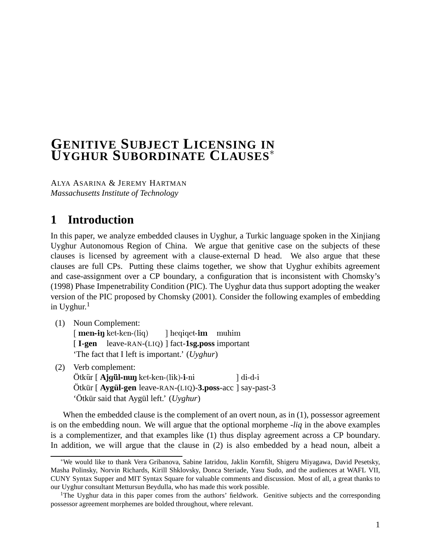# **GENITIVE SUBJECT LICENSING IN UYGHUR SUBORDINATE CLAUSES**<sup>∗</sup>

ALYA ASARINA & JEREMY HARTMAN *Massachusetts Institute of Technology*

# **1 Introduction**

In this paper, we analyze embedded clauses in Uyghur, a Turkic language spoken in the Xinjiang Uyghur Autonomous Region of China. We argue that genitive case on the subjects of these clauses is licensed by agreement with a clause-external D head. We also argue that these clauses are full CPs. Putting these claims together, we show that Uyghur exhibits agreement and case-assignment over a CP boundary, a configuration that is inconsistent with Chomsky's (1998) Phase Impenetrability Condition (PIC). The Uyghur data thus support adopting the weaker version of the PIC proposed by Chomsky (2001). Consider the following examples of embedding in Uyghur. $<sup>1</sup>$ </sup>

(1) Noun Complement:

[ men-in ket-ken-(liq) [ **I-gen** leave-RAN-(LIQ) ] fact-**1sg.poss** important ] heqiqet-im muhim 'The fact that I left is important.' (*Uyghur*)

- (2) Verb complement:
	- Ötkür [ **Ajgül-nuŋ** ket-ken-(lik)-**i**-ni Ötkür [ **Aygül-gen** leave-RAN-(LIQ)-**3.poss**-acc ] say-past-3 ] di-d-i 'Ötkür said that Aygül left.' (*Uyghur*)

When the embedded clause is the complement of an overt noun, as in (1), possessor agreement is on the embedding noun. We will argue that the optional morpheme -*liq* in the above examples is a complementizer, and that examples like (1) thus display agreement across a CP boundary. In addition, we will argue that the clause in (2) is also embedded by a head noun, albeit a

<sup>∗</sup>We would like to thank Vera Gribanova, Sabine Iatridou, Jaklin Kornfilt, Shigeru Miyagawa, David Pesetsky, Masha Polinsky, Norvin Richards, Kirill Shklovsky, Donca Steriade, Yasu Sudo, and the audiences at WAFL VII, CUNY Syntax Supper and MIT Syntax Square for valuable comments and discussion. Most of all, a great thanks to our Uyghur consultant Mettursun Beydulla, who has made this work possible.

<sup>&</sup>lt;sup>1</sup>The Uyghur data in this paper comes from the authors' fieldwork. Genitive subjects and the corresponding possessor agreement morphemes are bolded throughout, where relevant.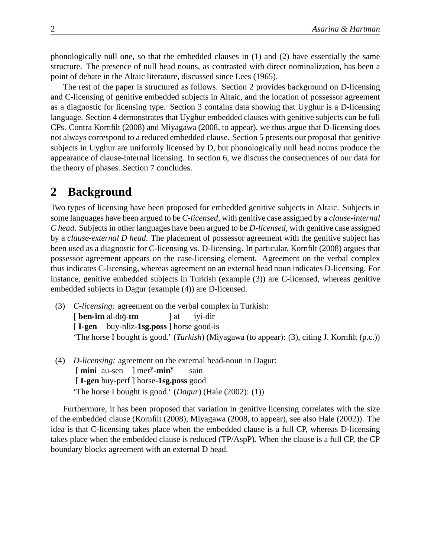phonologically null one, so that the embedded clauses in (1) and (2) have essentially the same structure. The presence of null head nouns, as contrasted with direct nominalization, has been a point of debate in the Altaic literature, discussed since Lees (1965).

The rest of the paper is structured as follows. Section 2 provides background on D-licensing and C-licensing of genitive embedded subjects in Altaic, and the location of possessor agreement as a diagnostic for licensing type. Section 3 contains data showing that Uyghur is a D-licensing language. Section 4 demonstrates that Uyghur embedded clauses with genitive subjects can be full CPs. Contra Kornfilt (2008) and Miyagawa (2008, to appear), we thus argue that D-licensing does not always correspond to a reduced embedded clause. Section 5 presents our proposal that genitive subjects in Uyghur are uniformly licensed by D, but phonologically null head nouns produce the appearance of clause-internal licensing. In section 6, we discuss the consequences of our data for the theory of phases. Section 7 concludes.

### **2 Background**

Two types of licensing have been proposed for embedded genitive subjects in Altaic. Subjects in some languages have been argued to be *C-licensed*, with genitive case assigned by a *clause-internal C head*. Subjects in other languages have been argued to be *D-licensed*, with genitive case assigned by a *clause-external D head*. The placement of possessor agreement with the genitive subject has been used as a diagnostic for C-licensing vs. D-licensing. In particular, Kornfilt (2008) argues that possessor agreement appears on the case-licensing element. Agreement on the verbal complex thus indicates C-licensing, whereas agreement on an external head noun indicates D-licensing. For instance, genitive embedded subjects in Turkish (example (3)) are C-licensed, whereas genitive embedded subjects in Dagur (example (4)) are D-licensed.

- (3) *C-licensing:* agreement on the verbal complex in Turkish: [ ben-im al-dığ-ım [ **I-gen** buy-nliz-**1sg.poss** ] horse good-is ] at iyi-dir 'The horse I bought is good.' (*Turkish*) (Miyagawa (to appear): (3), citing J. Kornfilt (p.c.))
- (4) *D-licensing:* agreement on the external head-noun in Dagur: [**mini** au-sen ] mer<sup>y</sup>-min<sup>y</sup> [ **I-gen** buy-perf ] horse-**1sg.poss** good sain 'The horse I bought is good.' (*Dagur*) (Hale (2002): (1))

Furthermore, it has been proposed that variation in genitive licensing correlates with the size of the embedded clause (Kornfilt (2008), Miyagawa (2008, to appear), see also Hale (2002)). The idea is that C-licensing takes place when the embedded clause is a full CP, whereas D-licensing takes place when the embedded clause is reduced (TP/AspP). When the clause is a full CP, the CP boundary blocks agreement with an external D head.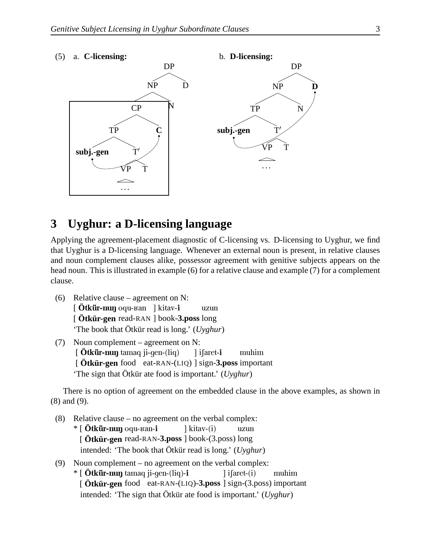

## **3 Uyghur: a D-licensing language**

Applying the agreement-placement diagnostic of C-licensing vs. D-licensing to Uyghur, we find that Uyghur is a D-licensing language. Whenever an external noun is present, in relative clauses and noun complement clauses alike, possessor agreement with genitive subjects appears on the head noun. This is illustrated in example (6) for a relative clause and example (7) for a complement clause.

- (6) Relative clause agreement on N: [ **Ötkür-nuŋ** oqu-ваn ] kitav-**i** [ **Ötkür-gen** read-RAN ] book-**3.poss** long uzun 'The book that Ötkür read is long.' (*Uyghur*)
- (7) Noun complement agreement on N: [  $Ö$ tkür-nun tamaq ji-gen-(liq) [ **Ötkür-gen** food eat-RAN-(LIQ) ] sign-**3.poss** important ] ifaret-i muhim 'The sign that Ötkür ate food is important.' (*Uyghur*)

There is no option of agreement on the embedded clause in the above examples, as shown in (8) and (9).

- (8) Relative clause no agreement on the verbal complex:
	- \* [ **Ötkür-nuŋ** oqu-ʁan-**i** [ **Ötkür-gen** read-RAN-**3.poss** ] book-(3.poss) long ] kitav-(i) uzun intended: 'The book that Ötkür read is long.' (*Uyghur*)
- (9) Noun complement no agreement on the verbal complex: \* [ **Ötkür-nuŋ** tamaq ji-gen-(liq)-**i** [ **Ötkür-gen** food eat-RAN-(LIQ)-**3.poss** ] sign-(3.poss) important ] iSaret-(i) muhim intended: 'The sign that Ötkür ate food is important.' (*Uyghur*)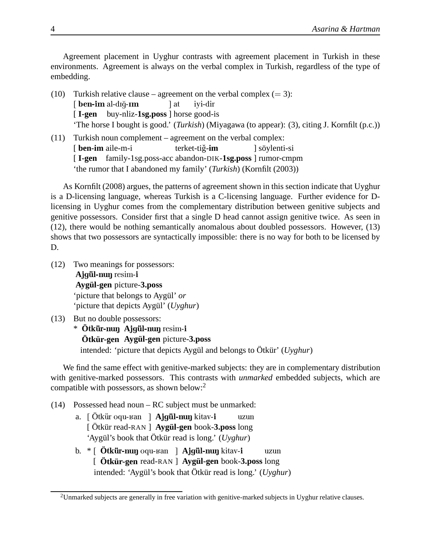Agreement placement in Uyghur contrasts with agreement placement in Turkish in these environments. Agreement is always on the verbal complex in Turkish, regardless of the type of embedding.

- (10) Turkish relative clause agreement on the verbal complex  $(= 3)$ : [ ben-im al-dığ-ım [ **I-gen** buy-nliz-**1sg.poss** ] horse good-is ] at iyi-dir 'The horse I bought is good.' (*Turkish*) (Miyagawa (to appear): (3), citing J. Kornfilt (p.c.))
- (11) Turkish noun complement agreement on the verbal complex: [ **ben-im** aile-m-i [ **I-gen** family-1sg.poss-acc abandon-DIK-**1sg.poss** ] rumor-cmpm terket-tiğ-**im** ] söylenti-si 'the rumor that I abandoned my family' (*Turkish*) (Kornfilt (2003))

As Kornfilt (2008) argues, the patterns of agreement shown in this section indicate that Uyghur is a D-licensing language, whereas Turkish is a C-licensing language. Further evidence for Dlicensing in Uyghur comes from the complementary distribution between genitive subjects and genitive possessors. Consider first that a single D head cannot assign genitive twice. As seen in (12), there would be nothing semantically anomalous about doubled possessors. However, (13) shows that two possessors are syntactically impossible: there is no way for both to be licensed by D.

- (12) Two meanings for possessors: Ajgül-nun resim-i **Aygül-gen** picture-**3.poss** 'picture that belongs to Aygül' *or* 'picture that depicts Aygül' (*Uyghur*)
- (13) But no double possessors:

\* **Ötkür-nuŋ Ajgül-nuŋ** resim-**i Ötkür-gen Aygül-gen** picture-**3.poss** intended: 'picture that depicts Aygül and belongs to Ötkür' (*Uyghur*)

We find the same effect with genitive-marked subjects: they are in complementary distribution with genitive-marked possessors. This contrasts with *unmarked* embedded subjects, which are compatible with possessors, as shown below:<sup>2</sup>

- (14) Possessed head noun RC subject must be unmarked:
	- a. [ Ötkür oqu-ваn ] **Ajgül-nuŋ** kitav-**i** [ Ötkür read-RAN ] **Aygül-gen** book-**3.poss** long uzun 'Aygül's book that Ötkür read is long.' (*Uyghur*)
	- b. \* [ **Ö**tk¨ur-nuN oqu-Kan ] **A**jg¨ul-nuN kitav-i [ **Ötkür-gen** read-RAN ] **Aygül-gen** book-**3.poss** long uzun intended: 'Aygül's book that Ötkür read is long.' (*Uyghur*)

 $2$ Unmarked subjects are generally in free variation with genitive-marked subjects in Uyghur relative clauses.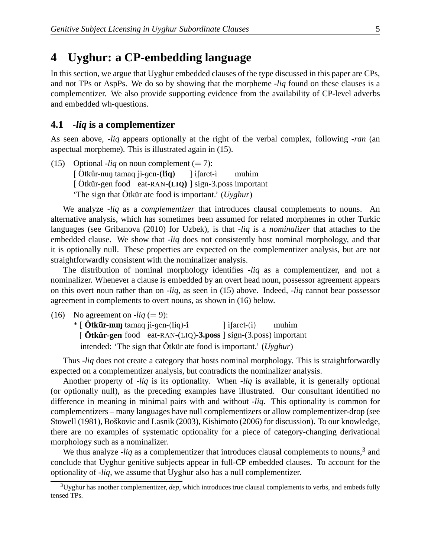# **4 Uyghur: a CP-embedding language**

In this section, we argue that Uyghur embedded clauses of the type discussed in this paper are CPs, and not TPs or AspPs. We do so by showing that the morpheme -*liq* found on these clauses is a complementizer. We also provide supporting evidence from the availability of CP-level adverbs and embedded wh-questions.

#### **4.1 -***liq* **is a complementizer**

As seen above, -*liq* appears optionally at the right of the verbal complex, following -*ran* (an aspectual morpheme). This is illustrated again in (15).

(15) Optional -*liq* on noun complement  $(= 7)$ : [Ötkür-nuŋ tamaq ji-gen-(l**iq**) [ Ötkür-gen food eat-RAN-**(LIQ)** ] sign-3.poss important ] i∫aret-i muhim 'The sign that Ötkür ate food is important.' (*Uyghur*)

We analyze -*liq* as a *complementizer* that introduces clausal complements to nouns. An alternative analysis, which has sometimes been assumed for related morphemes in other Turkic languages (see Gribanova (2010) for Uzbek), is that -*liq* is a *nominalizer* that attaches to the embedded clause. We show that -*liq* does not consistently host nominal morphology, and that it is optionally null. These properties are expected on the complementizer analysis, but are not straightforwardly consistent with the nominalizer analysis.

The distribution of nominal morphology identifies -*liq* as a complementizer, and not a nominalizer. Whenever a clause is embedded by an overt head noun, possessor agreement appears on this overt noun rather than on -*liq*, as seen in (15) above. Indeed, -*liq* cannot bear possessor agreement in complements to overt nouns, as shown in (16) below.

(16) No agreement on  $-Iiq (= 9)$ :

\* [ **Ötkür-nuŋ** tamaq ji-gen-(liq)-**i** [ **Ötkür-gen** food eat-RAN-(LIQ)-**3.poss** ] sign-(3.poss) important ] iSaret-(i) muhim intended: 'The sign that Ötkür ate food is important.' (*Uyghur*)

Thus -*liq* does not create a category that hosts nominal morphology. This is straightforwardly expected on a complementizer analysis, but contradicts the nominalizer analysis.

Another property of -*liq* is its optionality. When -*liq* is available, it is generally optional (or optionally null), as the preceding examples have illustrated. Our consultant identified no difference in meaning in minimal pairs with and without -*liq*. This optionality is common for complementizers – many languages have null complementizers or allow complementizer-drop (see Stowell (1981), Boškovic and Lasnik (2003), Kishimoto (2006) for discussion). To our knowledge, there are no examples of systematic optionality for a piece of category-changing derivational morphology such as a nominalizer.

We thus analyze  $-iiq$  as a complementizer that introduces clausal complements to nouns,<sup>3</sup> and conclude that Uyghur genitive subjects appear in full-CP embedded clauses. To account for the optionality of -*liq*, we assume that Uyghur also has a null complementizer.

 $3$ Uyghur has another complementizer, *dep*, which introduces true clausal complements to verbs, and embeds fully tensed TPs.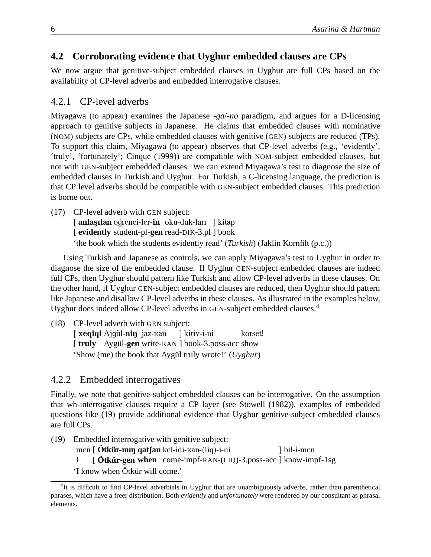### **4.2 Corroborating evidence that Uyghur embedded clauses are CPs**

We now argue that genitive-subject embedded clauses in Uyghur are full CPs based on the availability of CP-level adverbs and embedded interrogative clauses.

### 4.2.1 CP-level adverbs

Miyagawa (to appear) examines the Japanese -*ga*/-*no* paradigm, and argues for a D-licensing approach to genitive subjects in Japanese. He claims that embedded clauses with nominative (NOM) subjects are CPs, while embedded clauses with genitive (GEN) subjects are reduced (TPs). To support this claim, Miyagawa (to appear) observes that CP-level adverbs (e.g., 'evidently', 'truly', 'fortunately'; Cinque (1999)) are compatible with NOM-subject embedded clauses, but not with GEN-subject embedded clauses. We can extend Miyagawa's test to diagnose the size of embedded clauses in Turkish and Uyghur. For Turkish, a C-licensing language, the prediction is that CP level adverbs should be compatible with GEN-subject embedded clauses. This prediction is borne out.

(17) CP-level adverb with GEN subject:

[ anlaşılan oğrenci-ler-in oku-duk-ları ] kitap [ evidently student-pl-gen read-DIK-3.pl ] book 'the book which the students evidently read' (*Turkish*) (Jaklin Kornfilt (p.c.))

Using Turkish and Japanese as controls, we can apply Miyagawa's test to Uyghur in order to diagnose the size of the embedded clause. If Uyghur GEN-subject embedded clauses are indeed full CPs, then Uyghur should pattern like Turkish and allow CP-level adverbs in these clauses. On the other hand, if Uyghur GEN-subject embedded clauses are reduced, then Uyghur should pattern like Japanese and disallow CP-level adverbs in these clauses. As illustrated in the examples below, Uyghur does indeed allow CP-level adverbs in GEN-subject embedded clauses.<sup>4</sup>

(18) CP-level adverb with GEN subject:

[ xeqiqi Ajgül-niŋ jaz-ʁan [truly Aygül-gen write-RAN ] book-3.poss-acc show ] kitiv-i-ni korset! 'Show (me) the book that Aygül truly wrote!' (*Uyghur*)

### 4.2.2 Embedded interrogatives

Finally, we note that genitive-subject embedded clauses can be interrogative. On the assumption that wh-interrogative clauses require a CP layer (see Stowell (1982)), examples of embedded questions like (19) provide additional evidence that Uyghur genitive-subject embedded clauses are full CPs.

(19) Embedded interrogative with genitive subject:

men [ **Ötkür-nuŋ qatʃan** kel-idi-ʁan-(liq)-i-ni ] bil-i-men

I [**Ötkür-gen when** come-impf-RAN-(LIQ)-3.poss-acc ] know-impf-1sg

'I know when Ötkür will come.'

<sup>&</sup>lt;sup>4</sup>It is difficult to find CP-level adverbials in Uyghur that are unambiguously adverbs, rather than parenthetical phrases, which have a freer distribution. Both *evidently* and *unfortunately* were rendered by our consultant as phrasal elements.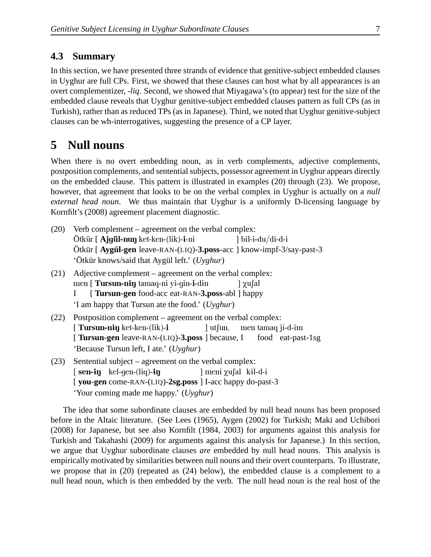#### **4.3 Summary**

In this section, we have presented three strands of evidence that genitive-subject embedded clauses in Uyghur are full CPs. First, we showed that these clauses can host what by all appearances is an overt complementizer, -*liq*. Second, we showed that Miyagawa's (to appear) test for the size of the embedded clause reveals that Uyghur genitive-subject embedded clauses pattern as full CPs (as in Turkish), rather than as reduced TPs (as in Japanese). Third, we noted that Uyghur genitive-subject clauses can be wh-interrogatives, suggesting the presence of a CP layer.

# **5 Null nouns**

When there is no overt embedding noun, as in verb complements, adjective complements, postposition complements, and sentential subjects, possessor agreement in Uyghur appears directly on the embedded clause. This pattern is illustrated in examples (20) through (23). We propose, however, that agreement that looks to be on the verbal complex in Uyghur is actually on a *null external head noun*. We thus maintain that Uyghur is a uniformly D-licensing language by Kornfilt's (2008) agreement placement diagnostic.

| (20) | Verb complement – agreement on the verbal complex:                       |
|------|--------------------------------------------------------------------------|
|      |                                                                          |
|      | Ötkür [ Aygül-gen leave-RAN-(LIQ)-3.poss-acc ] know-impf-3/say-past-3    |
|      | 'Ötkür knows/said that Aygül left.' (Uyghur)                             |
| (21) | Adjective complement – agreement on the verbal complex:                  |
|      | men [ <b>Tursun-ni</b> n tamaq-ni yi-gin- <b>i</b> -din<br>$\gamma$ ufal |
|      | [Tursun-gen food-acc eat-RAN-3.poss-abl ] happy<br>$\mathbf{I}$          |
|      | 'I am happy that Tursun ate the food.' (Uyghur)                          |
| (22) | Postposition complement – agreement on the verbal complex:               |
|      | <b>Tursun-nin</b> ket-ken-(lik)-i    dulum, men tamaq ji-d-im            |
|      | [Tursun-gen leave-RAN-(LIQ)-3.poss ] because, I food eat-past-1sg        |
|      | 'Because Tursun left, I ate.' (Uyghur)                                   |
| (23) | Sentential subject – agreement on the verbal complex:                    |
|      | $\lceil$ sen-in kel-qen-(liq)-in ] meni $\chi$ u $\lceil$ al kil-d-i     |
|      | [you-gen come-RAN-(LIQ)-2sg.poss ] I-acc happy do-past-3                 |
|      | 'Your coming made me happy.' (Uyghur)                                    |

The idea that some subordinate clauses are embedded by null head nouns has been proposed before in the Altaic literature. (See Lees (1965), Aygen (2002) for Turkish; Maki and Uchibori (2008) for Japanese, but see also Kornfilt (1984, 2003) for arguments against this analysis for Turkish and Takahashi (2009) for arguments against this analysis for Japanese.) In this section, we argue that Uyghur subordinate clauses *are* embedded by null head nouns. This analysis is empirically motivated by similarities between null nouns and their overt counterparts. To illustrate, we propose that in (20) (repeated as (24) below), the embedded clause is a complement to a null head noun, which is then embedded by the verb. The null head noun is the real host of the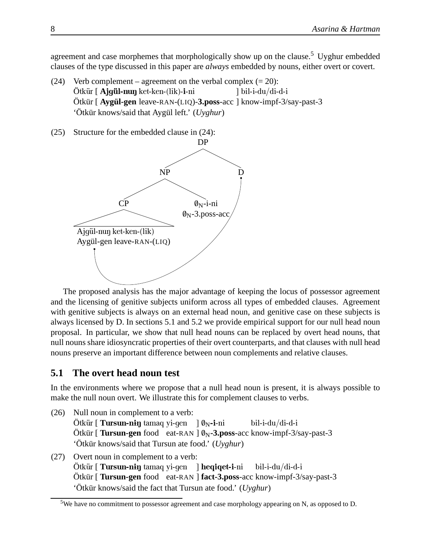agreement and case morphemes that morphologically show up on the clause.<sup>5</sup> Uyghur embedded clauses of the type discussed in this paper are *always* embedded by nouns, either overt or covert.

- (24) Verb complement agreement on the verbal complex  $(= 20)$ : Ötkür [ **Ajgül-nuŋ** ket-ken-(lik)-**i**-ni Ötkür [ **Aygül-gen** leave-RAN-(LIQ)-**3.poss**-acc ] know-impf-3/say-past-3 ] bil-i-du/di-d-i 'Ötkür knows/said that Aygül left.' (*Uyghur*)
- (25) Structure for the embedded clause in (24):



The proposed analysis has the major advantage of keeping the locus of possessor agreement and the licensing of genitive subjects uniform across all types of embedded clauses. Agreement with genitive subjects is always on an external head noun, and genitive case on these subjects is always licensed by D. In sections 5.1 and 5.2 we provide empirical support for our null head noun proposal. In particular, we show that null head nouns can be replaced by overt head nouns, that null nouns share idiosyncratic properties of their overt counterparts, and that clauses with null head nouns preserve an important difference between noun complements and relative clauses.

#### **5.1 The overt head noun test**

In the environments where we propose that a null head noun is present, it is always possible to make the null noun overt. We illustrate this for complement clauses to verbs.

- (26) Null noun in complement to a verb: Ötkür [ **Tursun-nɨŋ** tamaq yi-gen ] Ø<sub>N</sub>-i-ni Ötkür [ **Tursun-gen** food eat-RAN ]  $\varnothing_N$ **-3.poss**-acc know-impf-3/say-past-3 bil-i-du/di-d-i 'Ötkür knows/said that Tursun ate food.' (*Uyghur*)
- (27) Overt noun in complement to a verb: Ötkür [ **Tursun-nɨŋ** tamaq yi-gen ] **heqiqet-i**-ni Ötkür [ **Tursun-gen** food eat-RAN ] **fact-3.poss**-acc know-impf-3/say-past-3 bil-i-du/di-d-i 'Ötkür knows/said the fact that Tursun ate food.' (*Uyghur*)

<sup>&</sup>lt;sup>5</sup>We have no commitment to possessor agreement and case morphology appearing on N, as opposed to D.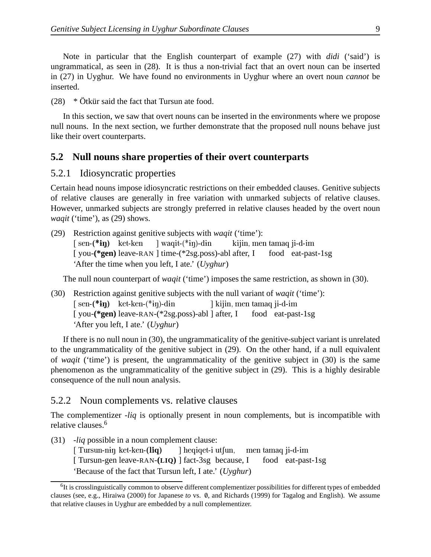Note in particular that the English counterpart of example (27) with *didi* ('said') is ungrammatical, as seen in (28). It is thus a non-trivial fact that an overt noun can be inserted in (27) in Uyghur. We have found no environments in Uyghur where an overt noun *cannot* be inserted.

 $(28)$  \* Ötkür said the fact that Tursun ate food.

In this section, we saw that overt nouns can be inserted in the environments where we propose null nouns. In the next section, we further demonstrate that the proposed null nouns behave just like their overt counterparts.

#### **5.2 Null nouns share properties of their overt counterparts**

#### 5.2.1 Idiosyncratic properties

Certain head nouns impose idiosyncratic restrictions on their embedded clauses. Genitive subjects of relative clauses are generally in free variation with unmarked subjects of relative clauses. However, unmarked subjects are strongly preferred in relative clauses headed by the overt noun *waqit* ('time'), as (29) shows.

(29) Restriction against genitive subjects with *waqit* ('time'): [sen-(\***iŋ)** ket-ken [ you-**(\*gen)** leave-RAN ] time-(\*2sg.poss)-abl after, I ] waqit-(\*<del>i</del>ŋ)-d<del>i</del>n kijin, men tamaq ji-d-im food eat-past-1sg 'After the time when you left, I ate.' (*Uyghur*)

The null noun counterpart of *waqit* ('time') imposes the same restriction, as shown in (30).

(30) Restriction against genitive subjects with the null variant of *waqit* ('time'):  $[sen-(*ip)$  ket-ken- $(*ip)$ -din [you-(\*gen) leave-RAN-(\*2sg.poss)-abl ] after, I ] kijin, men tamaq ji-d-im food eat-past-1sg 'After you left, I ate.' (*Uyghur*)

If there is no null noun in (30), the ungrammaticality of the genitive-subject variant is unrelated to the ungrammaticality of the genitive subject in (29). On the other hand, if a null equivalent of *waqit* ('time') is present, the ungrammaticality of the genitive subject in (30) is the same phenomenon as the ungrammaticality of the genitive subject in (29). This is a highly desirable consequence of the null noun analysis.

#### 5.2.2 Noun complements vs. relative clauses

The complementizer -*liq* is optionally present in noun complements, but is incompatible with relative clauses.<sup>6</sup>

(31) -*liq* possible in a noun complement clause:

[ Tursun-nin ket-ken-(liq) [ Tursun-gen leave-RAN-**(LIQ)** ] fact-3sg because, I ] heqiqet-i utfun, men tamaq ji-d-im food eat-past-1sg 'Because of the fact that Tursun left, I ate.' (*Uyghur*)

<sup>&</sup>lt;sup>6</sup>It is crosslinguistically common to observe different complementizer possibilities for different types of embedded clauses (see, e.g., Hiraiwa (2000) for Japanese *to* vs. /0, and Richards (1999) for Tagalog and English). We assume that relative clauses in Uyghur are embedded by a null complementizer.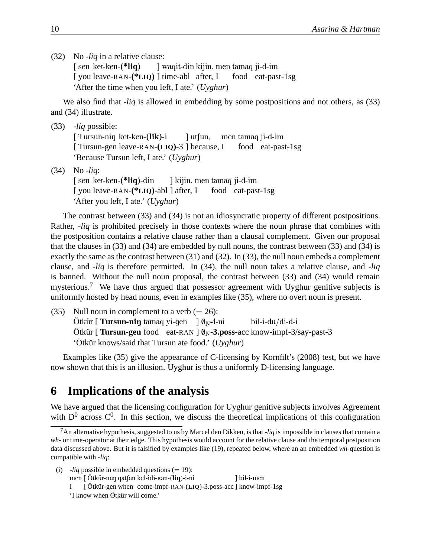(32) No -*liq* in a relative clause:

[ sen ket-ken-(\*liq) [ you leave-RAN-**(\*LIQ)** ] time-abl after, I ] waqit-d<del>i</del>n kijin, men tamaq ji-d-im food eat-past-1sg 'After the time when you left, I ate.' (*Uyghur*)

We also find that -*liq* is allowed in embedding by some postpositions and not others, as (33) and (34) illustrate.

(33) -*liq* possible: [ Tursun-niŋ ket-ken-(lik)-i [ Tursun-gen leave-RAN-**(LIQ)**-3 ] because, I ] utfun, men tamaq ji-d-im food eat-past-1sg 'Because Tursun left, I ate.' (*Uyghur*) (34) No -*liq*: [sen ket-ken-(\*liq)-din [ you leave-RAN-**(\*LIQ)**-abl ] after, I ] kijin, men tamaq ji-d-im food eat-past-1sg 'After you left, I ate.' (*Uyghur*)

The contrast between (33) and (34) is not an idiosyncratic property of different postpositions. Rather, -*liq* is prohibited precisely in those contexts where the noun phrase that combines with the postposition contains a relative clause rather than a clausal complement. Given our proposal that the clauses in (33) and (34) are embedded by null nouns, the contrast between (33) and (34) is exactly the same as the contrast between (31) and (32). In (33), the null noun embeds a complement clause, and -*liq* is therefore permitted. In (34), the null noun takes a relative clause, and -*liq* is banned. Without the null noun proposal, the contrast between (33) and (34) would remain mysterious.<sup>7</sup> We have thus argued that possessor agreement with Uyghur genitive subjects is uniformly hosted by head nouns, even in examples like (35), where no overt noun is present.

(35) Null noun in complement to a verb  $(= 26)$ : Ötkür [ **Tursun-nɨŋ** tamaq yi-gen ] Ø<sub>N</sub>-i-ni Ötkür [ **Tursun-gen** food eat-RAN ]  $\varnothing_N$ **-3.poss**-acc know-impf-3/say-past-3 bil-i-du/di-d-i 'Ötkür knows/said that Tursun ate food.' (*Uyghur*)

Examples like (35) give the appearance of C-licensing by Kornfilt's (2008) test, but we have now shown that this is an illusion. Uyghur is thus a uniformly D-licensing language.

# **6 Implications of the analysis**

We have argued that the licensing configuration for Uyghur genitive subjects involves Agreement with  $D^0$  across  $C^0$ . In this section, we discuss the theoretical implications of this configuration

- (i)  $-liq$  possible in embedded questions  $(= 19)$ :
	- men [ Ötkür-nuŋ qatʃan kel-idi-ʁan-(**liq**)-i-ni ] bil-i-men

<sup>7</sup>An alternative hypothesis, suggested to us by Marcel den Dikken, is that -*liq* is impossible in clauses that contain a *wh*- or time-operator at their edge. This hypothesis would account for the relative clause and the temporal postposition data discussed above. But it is falsified by examples like (19), repeated below, where an an embedded *wh*-question is compatible with -*liq*:

I [ Ötkür-gen when come-impf-RAN-(**LIQ**)-3.poss-acc ] know-impf-1sg

<sup>&#</sup>x27;I know when Ötkür will come.'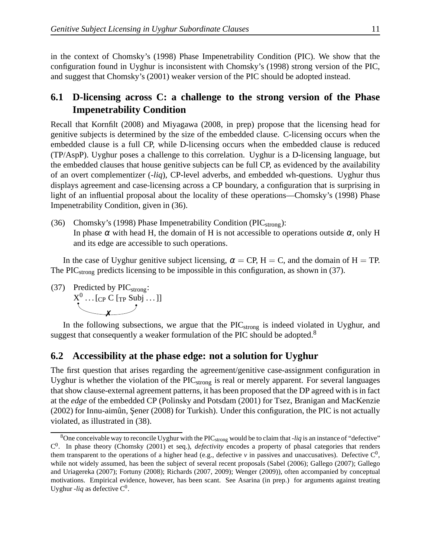in the context of Chomsky's (1998) Phase Impenetrability Condition (PIC). We show that the configuration found in Uyghur is inconsistent with Chomsky's (1998) strong version of the PIC, and suggest that Chomsky's (2001) weaker version of the PIC should be adopted instead.

### **6.1 D-licensing across C: a challenge to the strong version of the Phase Impenetrability Condition**

Recall that Kornfilt (2008) and Miyagawa (2008, in prep) propose that the licensing head for genitive subjects is determined by the size of the embedded clause. C-licensing occurs when the embedded clause is a full CP, while D-licensing occurs when the embedded clause is reduced (TP/AspP). Uyghur poses a challenge to this correlation. Uyghur is a D-licensing language, but the embedded clauses that house genitive subjects can be full CP, as evidenced by the availability of an overt complementizer (-*liq*), CP-level adverbs, and embedded wh-questions. Uyghur thus displays agreement and case-licensing across a CP boundary, a configuration that is surprising in light of an influential proposal about the locality of these operations—Chomsky's (1998) Phase Impenetrability Condition, given in (36).

(36) Chomsky's (1998) Phase Impenetrability Condition ( $\text{PIC}_{\text{strong}}$ ): In phase  $\alpha$  with head H, the domain of H is not accessible to operations outside  $\alpha$ , only H and its edge are accessible to such operations.

In the case of Uyghur genitive subject licensing,  $\alpha = CP$ ,  $H = C$ , and the domain of  $H = TP$ . The PIC<sub>strong</sub> predicts licensing to be impossible in this configuration, as shown in (37).

(37) Predicted by  $\text{PIC}_{\text{strong}}$ :  $X^0$  ... [<sub>CP</sub> C [<sub>TP</sub> Subj ...]]  $\overline{\mathbf{x}}$ 

In the following subsections, we argue that the  $\text{PIC}_{\text{strong}}$  is indeed violated in Uyghur, and suggest that consequently a weaker formulation of the PIC should be adopted.<sup>8</sup>

#### **6.2 Accessibility at the phase edge: not a solution for Uyghur**

The first question that arises regarding the agreement/genitive case-assignment configuration in Uyghur is whether the violation of the  $\text{PIC}_{\text{strong}}$  is real or merely apparent. For several languages that show clause-external agreement patterns, it has been proposed that the DP agreed with is in fact at the *edge* of the embedded CP (Polinsky and Potsdam (2001) for Tsez, Branigan and MacKenzie (2002) for Innu-aimûn, Şener (2008) for Turkish). Under this configuration, the PIC is not actually violated, as illustrated in (38).

<sup>&</sup>lt;sup>8</sup>One conceivable way to reconcile Uyghur with the PIC<sub>strong</sub> would be to claim that -*liq* is an instance of "defective" C 0 . In phase theory (Chomsky (2001) et seq.), *defectivity* encodes a property of phasal categories that renders them transparent to the operations of a higher head (e.g., defective  $v$  in passives and unaccusatives). Defective  $C^0$ , while not widely assumed, has been the subject of several recent proposals (Sabel (2006); Gallego (2007); Gallego and Uriagereka (2007); Fortuny (2008); Richards (2007, 2009); Wenger (2009)), often accompanied by conceptual motivations. Empirical evidence, however, has been scant. See Asarina (in prep.) for arguments against treating Uyghur -*liq* as defective  $C^0$ .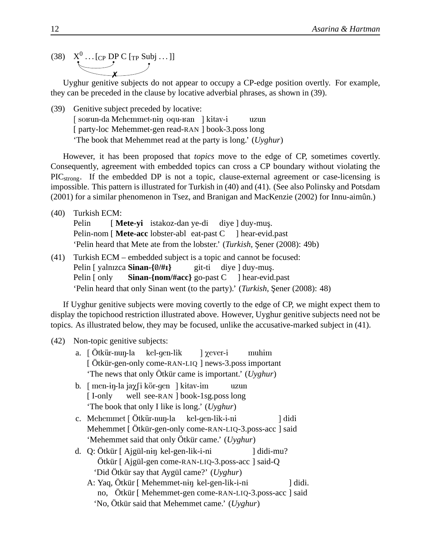(38)  $X^0$  ... [<sub>CP</sub> DP C [<sub>TP</sub> Subj ...]] ✗

Uyghur genitive subjects do not appear to occupy a CP-edge position overtly. For example, they can be preceded in the clause by locative adverbial phrases, as shown in (39).

(39) Genitive subject preceded by locative: [ so $x$ un-da Mehemmet-nin oqu- $x$ an ] kitav-i [party-loc Mehemmet-gen read-RAN ] book-3.poss long uzun 'The book that Mehemmet read at the party is long.' (*Uyghur*)

However, it has been proposed that *topics* move to the edge of CP, sometimes covertly. Consequently, agreement with embedded topics can cross a CP boundary without violating the PIC<sub>strong</sub>. If the embedded DP is not a topic, clause-external agreement or case-licensing is impossible. This pattern is illustrated for Turkish in (40) and (41). (See also Polinsky and Potsdam (2001) for a similar phenomenon in Tsez, and Branigan and MacKenzie (2002) for Innu-aimûn.)

(40) Turkish ECM:

Pelin Pelin-nom [ Mete-acc lobster-abl eat-past C [ **Mete-yi** istakoz-dan ye-di diye ] duy-muş. ] hear-evid.past 'Pelin heard that Mete ate from the lobster.' (*Turkish*, Sener (2008): 49b)

(41) Turkish ECM – embedded subject is a topic and cannot be focused: Pelin [ yalnızca Sinan-{0/#1} Pelin [ only **Sinan-{nom/#acc}** go-past C ] hear-evid.past git-ti diye ] duy-muş. 'Pelin heard that only Sinan went (to the party).' (*Turkish*, Şener (2008): 48)

If Uyghur genitive subjects were moving covertly to the edge of CP, we might expect them to display the topichood restriction illustrated above. However, Uyghur genitive subjects need not be topics. As illustrated below, they may be focused, unlike the accusative-marked subject in (41).

#### (42) Non-topic genitive subjects:

- a. [Ötkür-nuŋ-la [ Ötkür-gen-only come-RAN-LIQ ] news-3.poss important kel-gen-lik ] Xever-i muhim 'The news that only Ötkür came is important.' (*Uyghur*)
- b. [men-ɨŋ-la jaχ∫i kör-gen ] kitav-im [ I-only well see-RAN ] book-1sg.poss long uzun 'The book that only I like is long.' (*Uyghur*)
- c. Mehemmet [ Ötkür-nuŋ-la kel-gen-lik-i-ni Mehemmet [ Ötkür-gen-only come-RAN-LIQ-3.poss-acc ] said ] didi 'Mehemmet said that only Ötkür came.' (*Uyghur*)
- d. Q: Ötkür [ Ajgül-niŋ kel-gen-lik-i-ni Ötkür [ Ajgül-gen come-RAN-LIQ-3.poss-acc ] said-Q ] didi-mu? 'Did Ötkür say that Aygül came?' (*Uyghur*)
	- A: Yaq, Ötkür [ Mehemmet-nɨŋ kel-gen-lik-i-ni no, Ötkür [ Mehemmet-gen come-RAN-LIQ-3.poss-acc ] said ] didi. 'No, Ötkür said that Mehemmet came.' (*Uyghur*)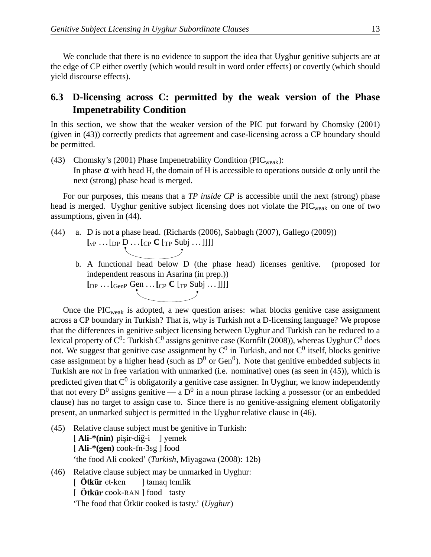We conclude that there is no evidence to support the idea that Uyghur genitive subjects are at the edge of CP either overtly (which would result in word order effects) or covertly (which should yield discourse effects).

### **6.3 D-licensing across C: permitted by the weak version of the Phase Impenetrability Condition**

In this section, we show that the weaker version of the PIC put forward by Chomsky (2001) (given in (43)) correctly predicts that agreement and case-licensing across a CP boundary should be permitted.

(43) Chomsky's (2001) Phase Impenetrability Condition (PIC<sub>weak</sub>): In phase  $\alpha$  with head H, the domain of H is accessible to operations outside  $\alpha$  only until the next (strong) phase head is merged.

For our purposes, this means that a *TP inside CP* is accessible until the next (strong) phase head is merged. Uyghur genitive subject licensing does not violate the  $\text{PIC}_{\text{weak}}$  on one of two assumptions, given in (44).

- (44) a. D is not a phase head. (Richards (2006), Sabbagh (2007), Gallego (2009))  $\left[\begin{matrix} \n\mathbf{v}_P \dots \mathbf{v}_P \mathbf{D} \dots \mathbf{c}_P \mathbf{C} \mathbf{v}_P \mathbf{S} \mathbf{u} \mathbf{b} \dots \end{matrix} \right]$ 
	- b. A functional head below D (the phase head) licenses genitive. (proposed for independent reasons in Asarina (in prep.)) **[**DP . . . [GenP Gen . . .**[**CP **C** [TP Subj . . . ]]]]

Once the  $\text{PIC}_{\text{weak}}$  is adopted, a new question arises: what blocks genitive case assignment across a CP boundary in Turkish? That is, why is Turkish not a D-licensing language? We propose that the differences in genitive subject licensing between Uyghur and Turkish can be reduced to a lexical property of  $\rm C^0$ : Turkish  $\rm C^0$  assigns genitive case (Kornfilt (2008)), whereas Uyghur  $\rm C^0$  does not. We suggest that genitive case assignment by  $C^0$  in Turkish, and not  $C^0$  itself, blocks genitive case assignment by a higher head (such as  $D^0$  or Gen<sup>0</sup>). Note that genitive embedded subjects in Turkish are *not* in free variation with unmarked (i.e. nominative) ones (as seen in (45)), which is predicted given that  $C^0$  is obligatorily a genitive case assigner. In Uyghur, we know independently that not every  $D^0$  assigns genitive — a  $D^0$  in a noun phrase lacking a possessor (or an embedded clause) has no target to assign case to. Since there is no genitive-assigning element obligatorily present, an unmarked subject is permitted in the Uyghur relative clause in (46).

- (45) Relative clause subject must be genitive in Turkish: [Ali-\*(nin) pişir-diğ-i ] yemek [ **Ali-\*(gen)** cook-fn-3sg ] food 'the food Ali cooked' (*Turkish*, Miyagawa (2008): 12b) (46) Relative clause subject may be unmarked in Uyghur: [**Ötkür** et-ken ] tamaq temlik
	- [  $\ddot{\textbf{O}}$ **tkür** cook-RAN ] food tasty 'The food that Ötkür cooked is tasty.' (*Uyghur*)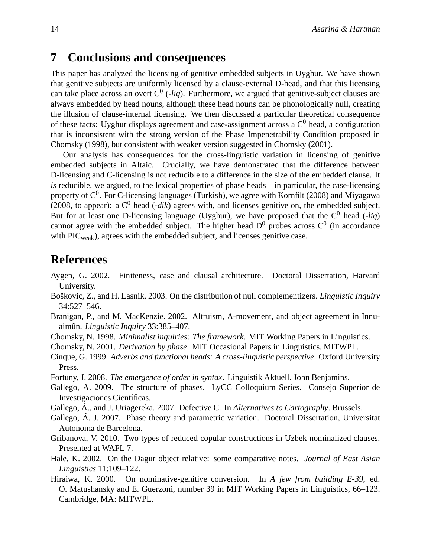## **7 Conclusions and consequences**

This paper has analyzed the licensing of genitive embedded subjects in Uyghur. We have shown that genitive subjects are uniformly licensed by a clause-external D-head, and that this licensing can take place across an overt  $C^0$  (-*liq*). Furthermore, we argued that genitive-subject clauses are always embedded by head nouns, although these head nouns can be phonologically null, creating the illusion of clause-internal licensing. We then discussed a particular theoretical consequence of these facts: Uyghur displays agreement and case-assignment across a  $C^0$  head, a configuration that is inconsistent with the strong version of the Phase Impenetrability Condition proposed in Chomsky (1998), but consistent with weaker version suggested in Chomsky (2001).

Our analysis has consequences for the cross-linguistic variation in licensing of genitive embedded subjects in Altaic. Crucially, we have demonstrated that the difference between D-licensing and C-licensing is not reducible to a difference in the size of the embedded clause. It *is* reducible, we argued, to the lexical properties of phase heads—in particular, the case-licensing property of  $C^0$ . For C-licensing languages (Turkish), we agree with Kornfilt (2008) and Miyagawa (2008, to appear): a  $C^0$  head (*-dik*) agrees with, and licenses genitive on, the embedded subject. But for at least one D-licensing language (Uyghur), we have proposed that the  $C^0$  head (-*liq*) cannot agree with the embedded subject. The higher head  $D^0$  probes across  $C^0$  (in accordance with  $\text{PIC}_{\text{weak}}$ ), agrees with the embedded subject, and licenses genitive case.

### **References**

- Aygen, G. 2002. Finiteness, case and clausal architecture. Doctoral Dissertation, Harvard University.
- Boškovic, Z., and H. Lasnik. 2003. On the distribution of null complementizers. *Linguistic Inquiry* 34:527–546.
- Branigan, P., and M. MacKenzie. 2002. Altruism, A-movement, and object agreement in Innuaimûn. *Linguistic Inquiry* 33:385–407.
- Chomsky, N. 1998. *Minimalist inquiries: The framework*. MIT Working Papers in Linguistics.

Chomsky, N. 2001. *Derivation by phase*. MIT Occasional Papers in Linguistics. MITWPL.

- Cinque, G. 1999. *Adverbs and functional heads: A cross-linguistic perspective*. Oxford University Press.
- Fortuny, J. 2008. *The emergence of order in syntax*. Linguistik Aktuell. John Benjamins.
- Gallego, A. 2009. The structure of phases. LyCC Colloquium Series. Consejo Superior de Investigaciones Científicas.
- Gallego, Á., and J. Uriagereka. 2007. Defective C. In *Alternatives to Cartography*. Brussels.
- Gallego, Á. J. 2007. Phase theory and parametric variation. Doctoral Dissertation, Universitat Autonoma de Barcelona.
- Gribanova, V. 2010. Two types of reduced copular constructions in Uzbek nominalized clauses. Presented at WAFL 7.
- Hale, K. 2002. On the Dagur object relative: some comparative notes. *Journal of East Asian Linguistics* 11:109–122.
- Hiraiwa, K. 2000. On nominative-genitive conversion. In *A few from building E-39*, ed. O. Matushansky and E. Guerzoni, number 39 in MIT Working Papers in Linguistics, 66–123. Cambridge, MA: MITWPL.